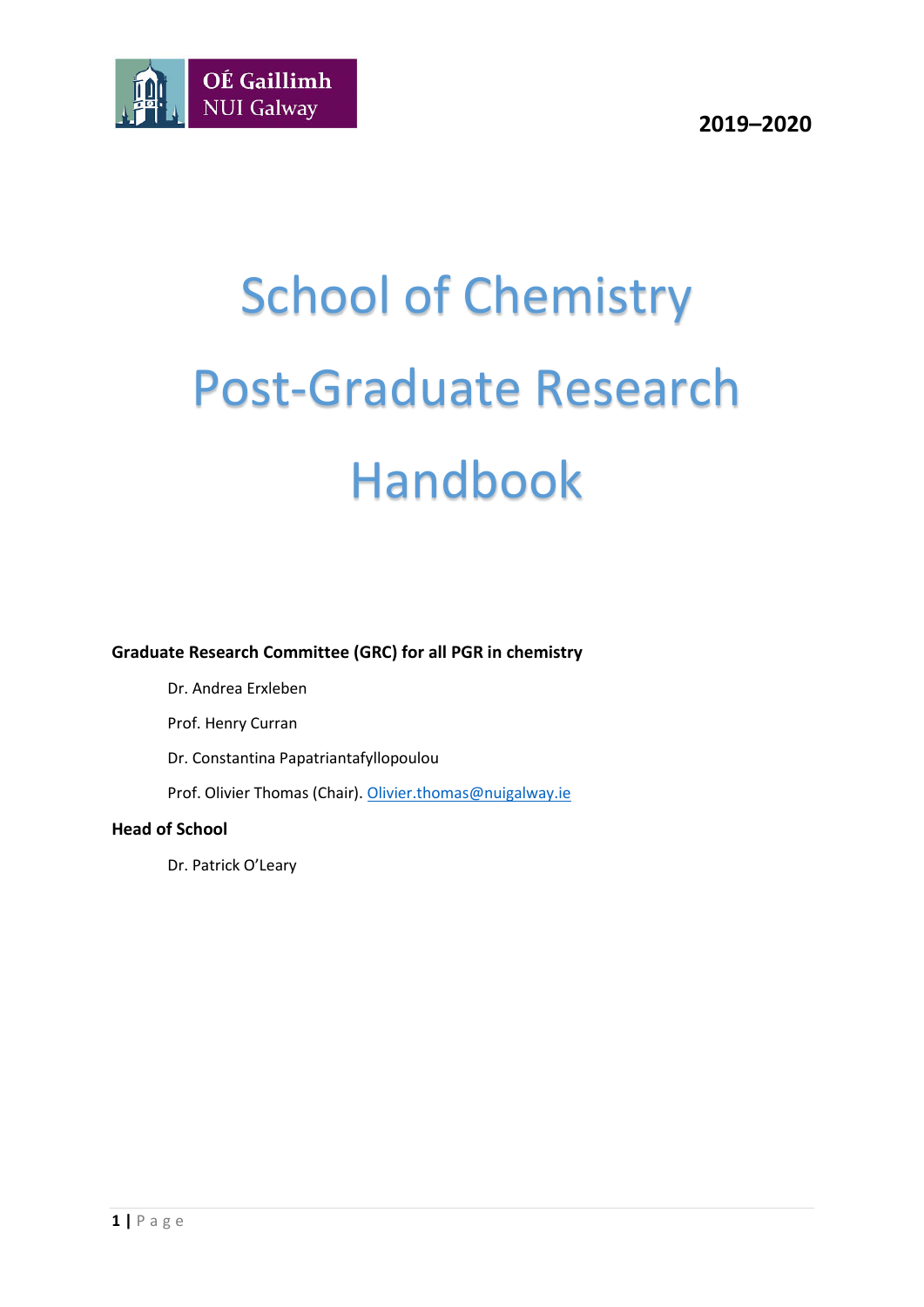

# School of Chemistry Post-Graduate Research Handbook

**Graduate Research Committee (GRC) for all PGR in chemistry**

Dr. Andrea Erxleben

Prof. Henry Curran

Dr. Constantina Papatriantafyllopoulou

Prof. Olivier Thomas (Chair)[. Olivier.thomas@nuigalway.ie](mailto:Olivier.thomas@nuigalway.ie)

#### **Head of School**

Dr. Patrick O'Leary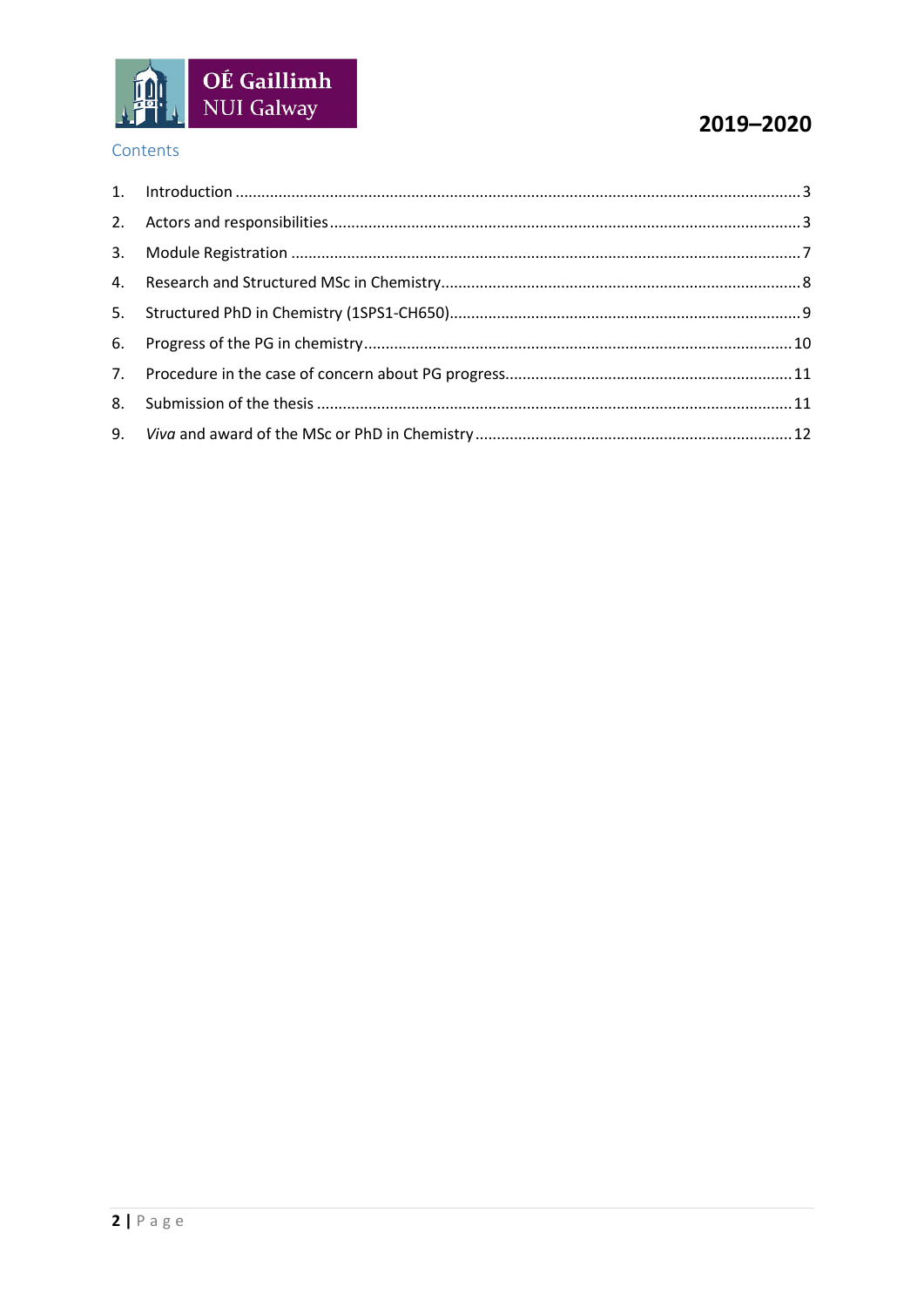

# 2019-2020

## Contents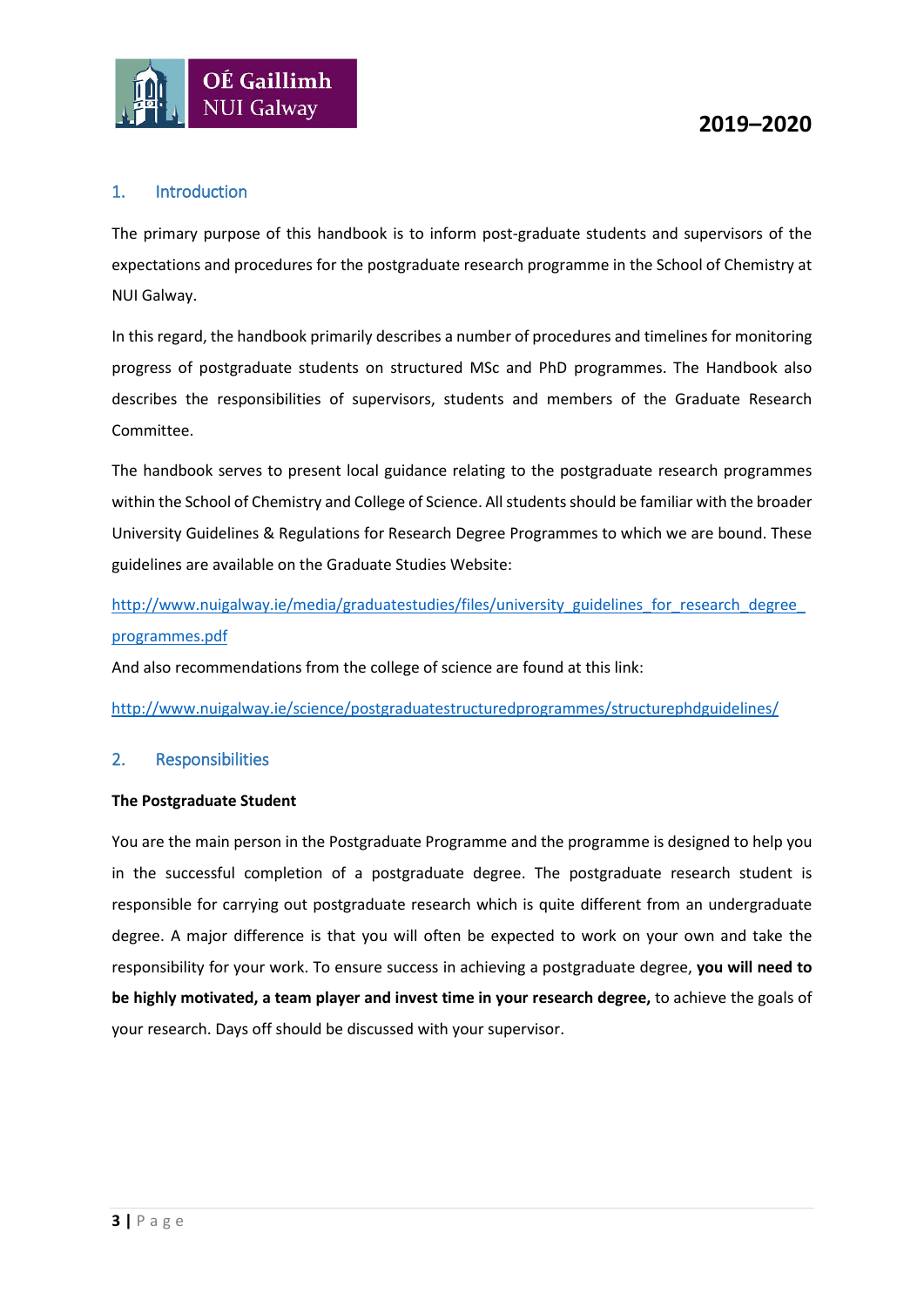

## <span id="page-2-0"></span>1. Introduction

The primary purpose of this handbook is to inform post-graduate students and supervisors of the expectations and procedures for the postgraduate research programme in the School of Chemistry at NUI Galway.

In this regard, the handbook primarily describes a number of procedures and timelines for monitoring progress of postgraduate students on structured MSc and PhD programmes. The Handbook also describes the responsibilities of supervisors, students and members of the Graduate Research Committee.

The handbook serves to present local guidance relating to the postgraduate research programmes within the School of Chemistry and College of Science. All students should be familiar with the broader University Guidelines & Regulations for Research Degree Programmes to which we are bound. These guidelines are available on the Graduate Studies Website:

http://www.nuigalway.ie/media/graduatestudies/files/university\_guidelines\_for\_research\_degree [programmes.pdf](http://www.nuigalway.ie/media/graduatestudies/files/university_guidelines_for_research_degree_programmes.pdf)

And also recommendations from the college of science are found at this link:

<http://www.nuigalway.ie/science/postgraduatestructuredprogrammes/structurephdguidelines/>

#### <span id="page-2-1"></span>2. Responsibilities

#### **The Postgraduate Student**

You are the main person in the Postgraduate Programme and the programme is designed to help you in the successful completion of a postgraduate degree. The postgraduate research student is responsible for carrying out postgraduate research which is quite different from an undergraduate degree. A major difference is that you will often be expected to work on your own and take the responsibility for your work. To ensure success in achieving a postgraduate degree, **you will need to be highly motivated, a team player and invest time in your research degree,** to achieve the goals of your research. Days off should be discussed with your supervisor.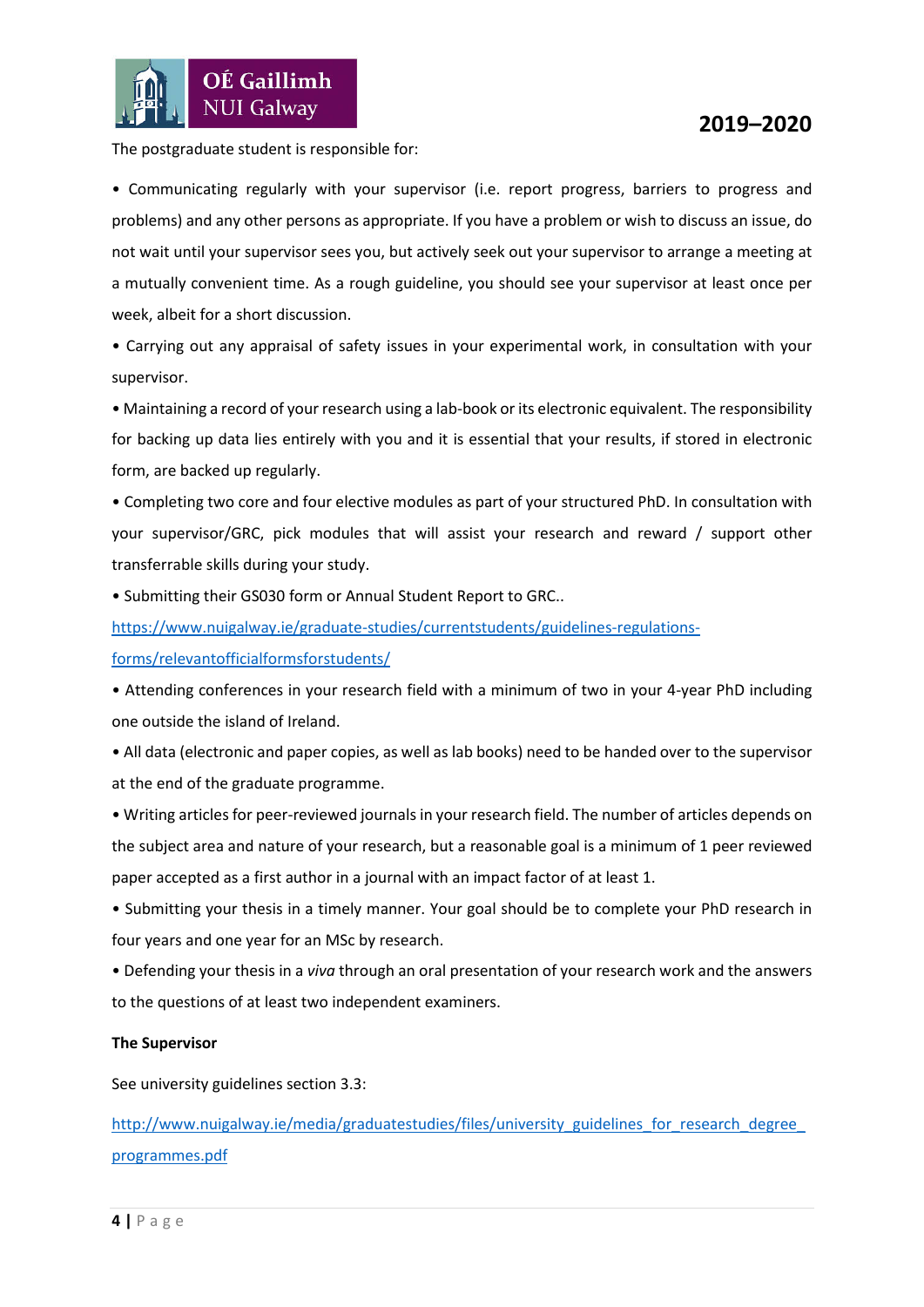

The postgraduate student is responsible for:

• Communicating regularly with your supervisor (i.e. report progress, barriers to progress and problems) and any other persons as appropriate. If you have a problem or wish to discuss an issue, do not wait until your supervisor sees you, but actively seek out your supervisor to arrange a meeting at a mutually convenient time. As a rough guideline, you should see your supervisor at least once per week, albeit for a short discussion.

• Carrying out any appraisal of safety issues in your experimental work, in consultation with your supervisor.

• Maintaining a record of your research using a lab-book or its electronic equivalent. The responsibility for backing up data lies entirely with you and it is essential that your results, if stored in electronic form, are backed up regularly.

• Completing two core and four elective modules as part of your structured PhD. In consultation with your supervisor/GRC, pick modules that will assist your research and reward / support other transferrable skills during your study.

• Submitting their GS030 form or Annual Student Report to GRC..

[https://www.nuigalway.ie/graduate-studies/currentstudents/guidelines-regulations-](https://www.nuigalway.ie/graduate-studies/currentstudents/guidelines-regulations-forms/relevantofficialformsforstudents/)

[forms/relevantofficialformsforstudents/](https://www.nuigalway.ie/graduate-studies/currentstudents/guidelines-regulations-forms/relevantofficialformsforstudents/)

• Attending conferences in your research field with a minimum of two in your 4-year PhD including one outside the island of Ireland.

• All data (electronic and paper copies, as well as lab books) need to be handed over to the supervisor at the end of the graduate programme.

• Writing articles for peer-reviewed journals in your research field. The number of articles depends on the subject area and nature of your research, but a reasonable goal is a minimum of 1 peer reviewed paper accepted as a first author in a journal with an impact factor of at least 1.

• Submitting your thesis in a timely manner. Your goal should be to complete your PhD research in four years and one year for an MSc by research.

• Defending your thesis in a *viva* through an oral presentation of your research work and the answers to the questions of at least two independent examiners.

#### **The Supervisor**

See university guidelines section 3.3:

http://www.nuigalway.ie/media/graduatestudies/files/university\_guidelines\_for\_research\_degree [programmes.pdf](http://www.nuigalway.ie/media/graduatestudies/files/university_guidelines_for_research_degree_programmes.pdf)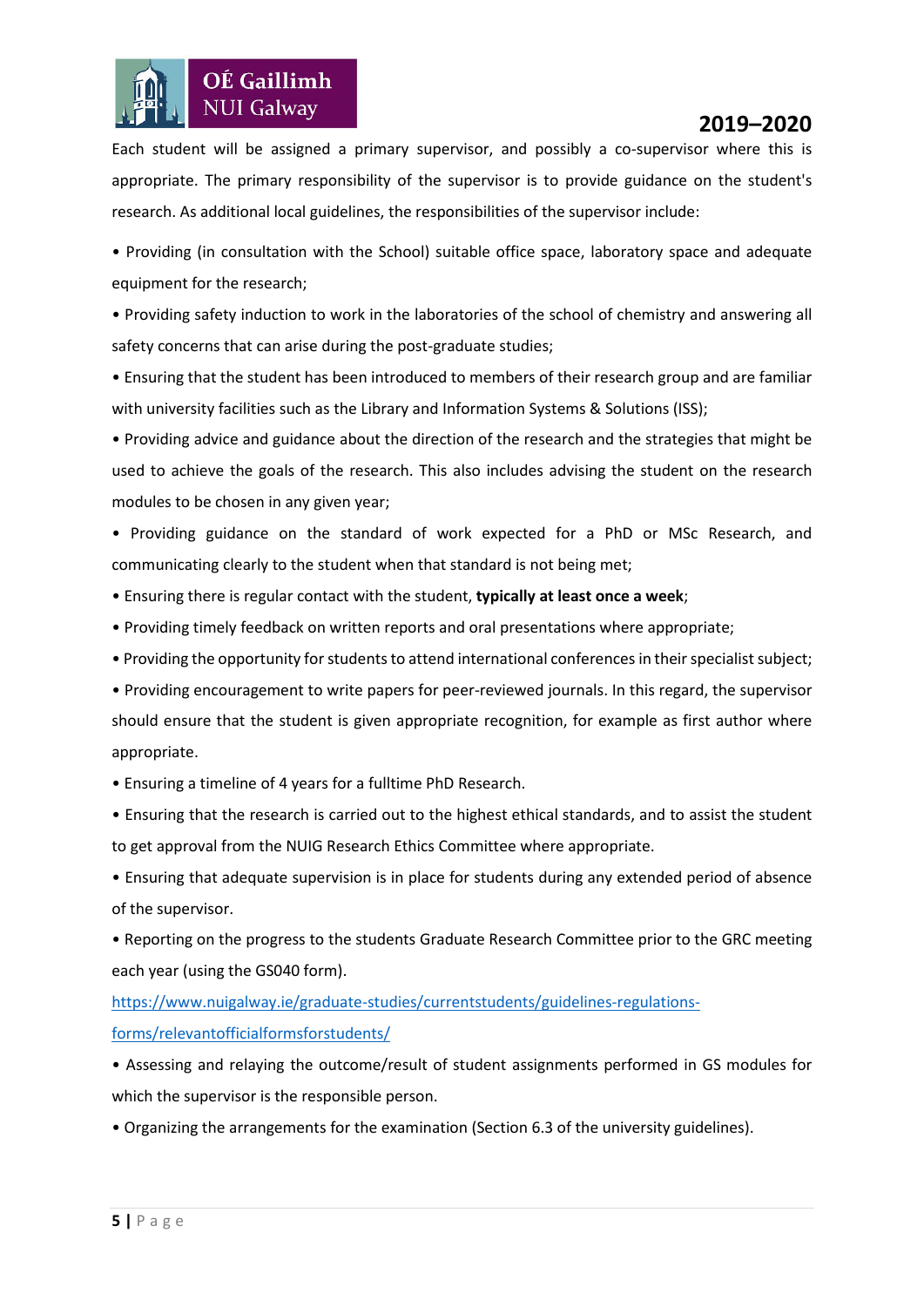Each student will be assigned a primary supervisor, and possibly a co-supervisor where this is appropriate. The primary responsibility of the supervisor is to provide guidance on the student's research. As additional local guidelines, the responsibilities of the supervisor include:

• Providing (in consultation with the School) suitable office space, laboratory space and adequate equipment for the research;

• Providing safety induction to work in the laboratories of the school of chemistry and answering all safety concerns that can arise during the post-graduate studies;

• Ensuring that the student has been introduced to members of their research group and are familiar with university facilities such as the Library and Information Systems & Solutions (ISS);

• Providing advice and guidance about the direction of the research and the strategies that might be used to achieve the goals of the research. This also includes advising the student on the research modules to be chosen in any given year;

• Providing guidance on the standard of work expected for a PhD or MSc Research, and communicating clearly to the student when that standard is not being met;

• Ensuring there is regular contact with the student, **typically at least once a week**;

- Providing timely feedback on written reports and oral presentations where appropriate;
- Providing the opportunity for students to attend international conferences in their specialistsubject;

• Providing encouragement to write papers for peer-reviewed journals. In this regard, the supervisor should ensure that the student is given appropriate recognition, for example as first author where appropriate.

• Ensuring a timeline of 4 years for a fulltime PhD Research.

OÉ Gaillimh **NUI Galway** 

• Ensuring that the research is carried out to the highest ethical standards, and to assist the student to get approval from the NUIG Research Ethics Committee where appropriate.

• Ensuring that adequate supervision is in place for students during any extended period of absence of the supervisor.

• Reporting on the progress to the students Graduate Research Committee prior to the GRC meeting each year (using the GS040 form).

[https://www.nuigalway.ie/graduate-studies/currentstudents/guidelines-regulations](https://www.nuigalway.ie/graduate-studies/currentstudents/guidelines-regulations-forms/relevantofficialformsforstudents/)[forms/relevantofficialformsforstudents/](https://www.nuigalway.ie/graduate-studies/currentstudents/guidelines-regulations-forms/relevantofficialformsforstudents/)

• Assessing and relaying the outcome/result of student assignments performed in GS modules for which the supervisor is the responsible person.

• Organizing the arrangements for the examination (Section 6.3 of the university guidelines).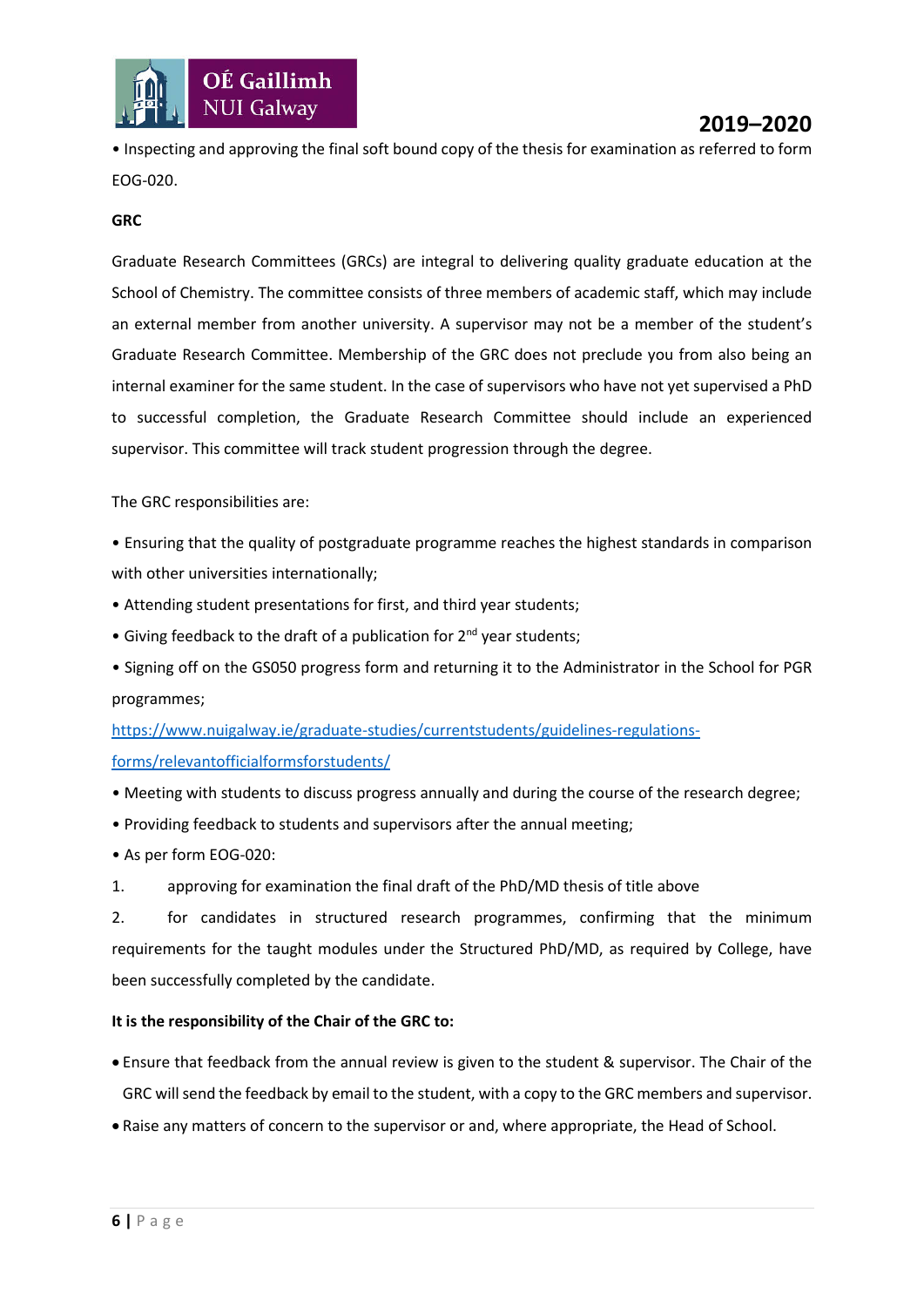

• Inspecting and approving the final soft bound copy of the thesis for examination as referred to form EOG-020.

#### **GRC**

Graduate Research Committees (GRCs) are integral to delivering quality graduate education at the School of Chemistry. The committee consists of three members of academic staff, which may include an external member from another university. A supervisor may not be a member of the student's Graduate Research Committee. Membership of the GRC does not preclude you from also being an internal examiner for the same student. In the case of supervisors who have not yet supervised a PhD to successful completion, the Graduate Research Committee should include an experienced supervisor. This committee will track student progression through the degree.

The GRC responsibilities are:

- Ensuring that the quality of postgraduate programme reaches the highest standards in comparison with other universities internationally;
- Attending student presentations for first, and third year students;
- Giving feedback to the draft of a publication for 2<sup>nd</sup> year students;
- Signing off on the GS050 progress form and returning it to the Administrator in the School for PGR programmes;

[https://www.nuigalway.ie/graduate-studies/currentstudents/guidelines-regulations](https://www.nuigalway.ie/graduate-studies/currentstudents/guidelines-regulations-forms/relevantofficialformsforstudents/)[forms/relevantofficialformsforstudents/](https://www.nuigalway.ie/graduate-studies/currentstudents/guidelines-regulations-forms/relevantofficialformsforstudents/)

- Meeting with students to discuss progress annually and during the course of the research degree;
- Providing feedback to students and supervisors after the annual meeting;
- As per form EOG-020:
- 1. approving for examination the final draft of the PhD/MD thesis of title above

2. for candidates in structured research programmes, confirming that the minimum requirements for the taught modules under the Structured PhD/MD, as required by College, have been successfully completed by the candidate.

#### **It is the responsibility of the Chair of the GRC to:**

- Ensure that feedback from the annual review is given to the student & supervisor. The Chair of the GRC will send the feedback by email to the student, with a copy to the GRC members and supervisor.
- Raise any matters of concern to the supervisor or and, where appropriate, the Head of School.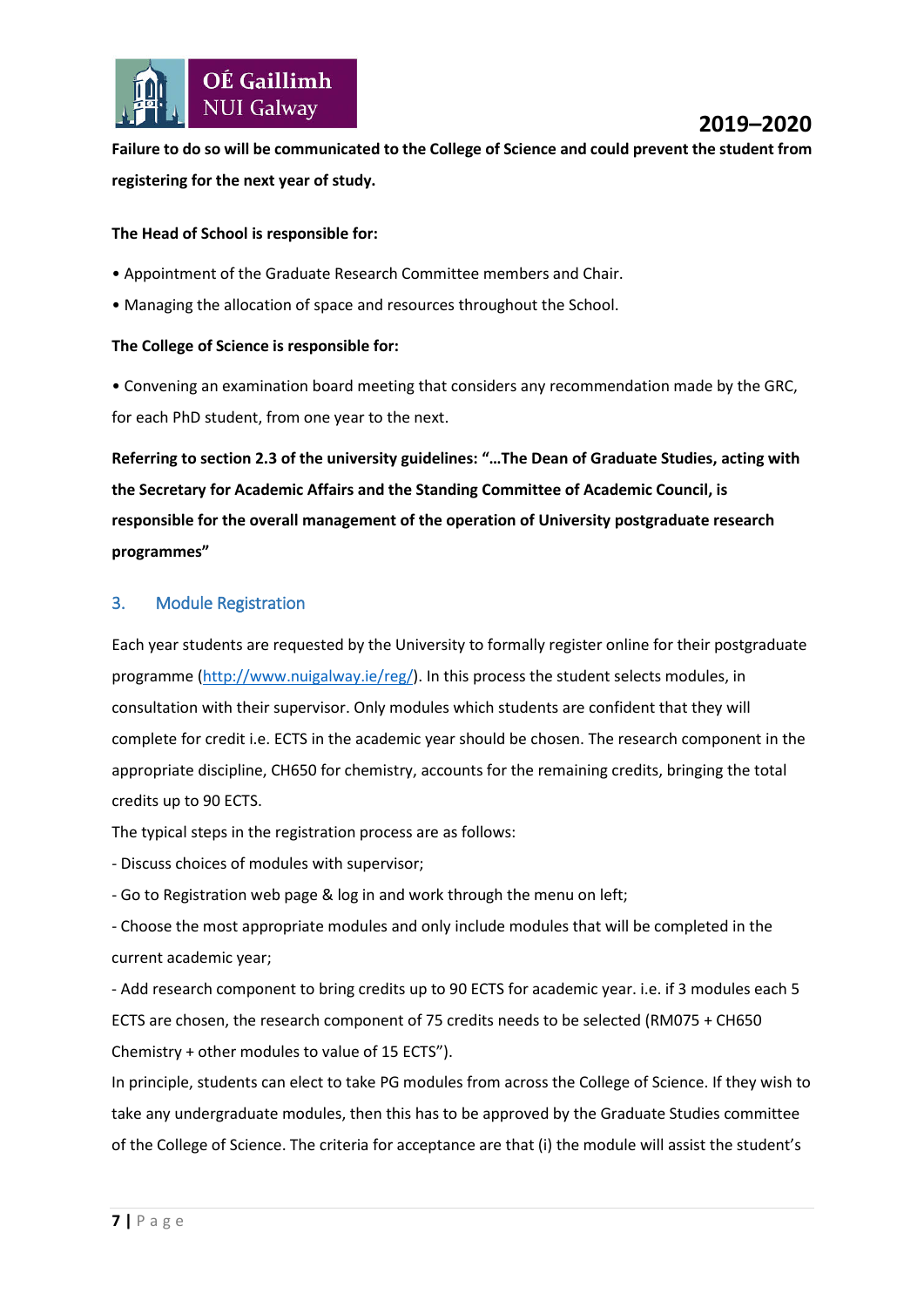

**Failure to do so will be communicated to the College of Science and could prevent the student from registering for the next year of study.**

#### **The Head of School is responsible for:**

- Appointment of the Graduate Research Committee members and Chair.
- Managing the allocation of space and resources throughout the School.

#### **The College of Science is responsible for:**

• Convening an examination board meeting that considers any recommendation made by the GRC, for each PhD student, from one year to the next.

**Referring to section 2.3 of the university guidelines: "…The Dean of Graduate Studies, acting with the Secretary for Academic Affairs and the Standing Committee of Academic Council, is responsible for the overall management of the operation of University postgraduate research programmes"**

#### <span id="page-6-0"></span>3. Module Registration

Each year students are requested by the University to formally register online for their postgraduate programme [\(http://www.nuigalway.ie/reg/\)](http://www.nuigalway.ie/reg/reghelp_home.html/newstudentpostgrad/). In this process the student selects modules, in consultation with their supervisor. Only modules which students are confident that they will complete for credit i.e. ECTS in the academic year should be chosen. The research component in the appropriate discipline, CH650 for chemistry, accounts for the remaining credits, bringing the total credits up to 90 ECTS.

The typical steps in the registration process are as follows:

- Discuss choices of modules with supervisor;

- Go to Registration web page & log in and work through the menu on left;

- Choose the most appropriate modules and only include modules that will be completed in the current academic year;

- Add research component to bring credits up to 90 ECTS for academic year. i.e. if 3 modules each 5 ECTS are chosen, the research component of 75 credits needs to be selected (RM075 + CH650 Chemistry + other modules to value of 15 ECTS").

In principle, students can elect to take PG modules from across the College of Science. If they wish to take any undergraduate modules, then this has to be approved by the Graduate Studies committee of the College of Science. The criteria for acceptance are that (i) the module will assist the student's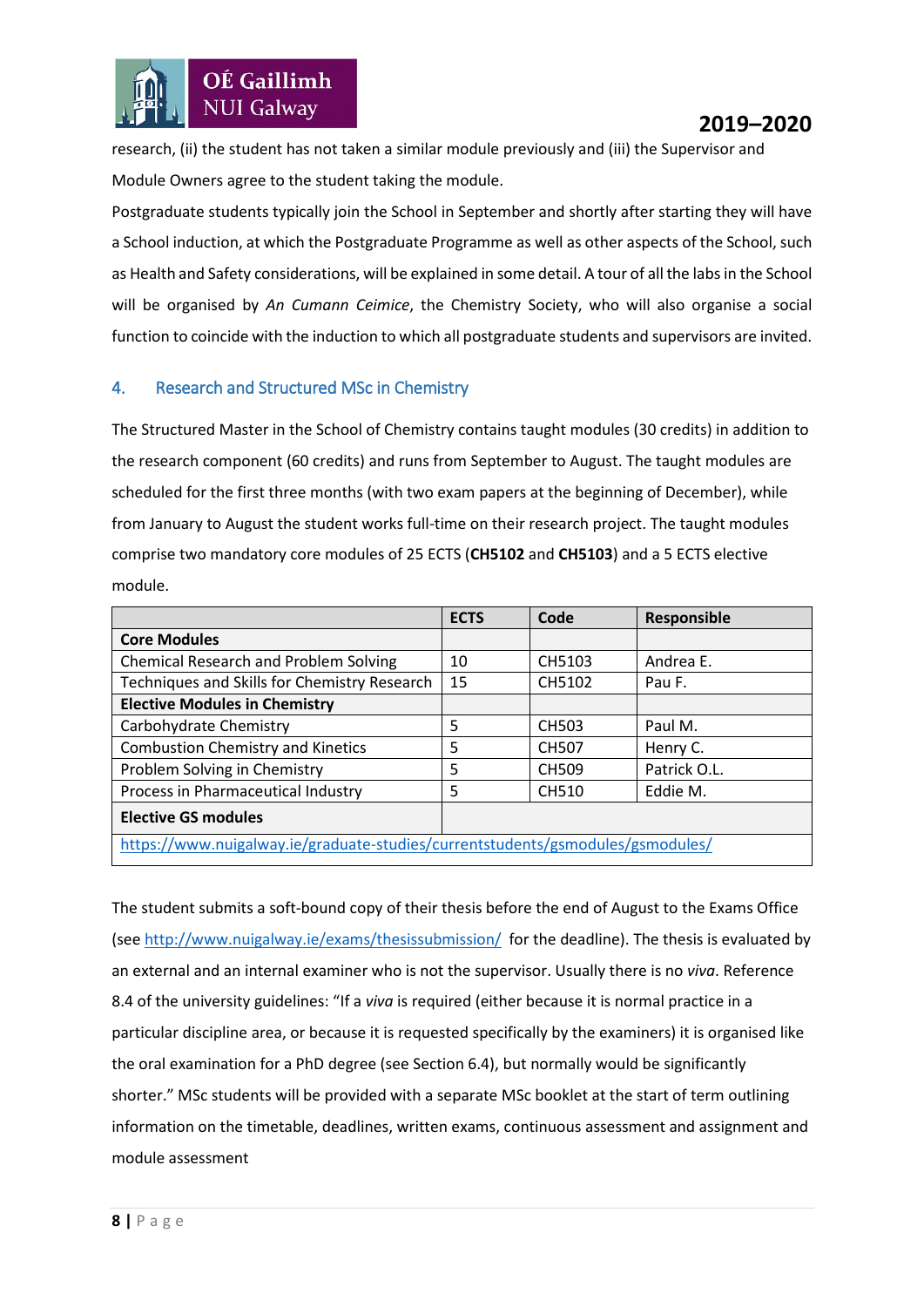research, (ii) the student has not taken a similar module previously and (iii) the Supervisor and Module Owners agree to the student taking the module.

Postgraduate students typically join the School in September and shortly after starting they will have a School induction, at which the Postgraduate Programme as well as other aspects of the School, such as Health and Safety considerations, will be explained in some detail. A tour of all the labs in the School will be organised by *An Cumann Ceimice*, the Chemistry Society, who will also organise a social function to coincide with the induction to which all postgraduate students and supervisors are invited.

#### <span id="page-7-0"></span>4. Research and Structured MSc in Chemistry

The Structured Master in the School of Chemistry contains taught modules (30 credits) in addition to the research component (60 credits) and runs from September to August. The taught modules are scheduled for the first three months (with two exam papers at the beginning of December), while from January to August the student works full-time on their research project. The taught modules comprise two mandatory core modules of 25 ECTS (**CH5102** and **CH5103**) and a 5 ECTS elective module.

|                                                                                | <b>ECTS</b> | Code         | Responsible  |  |
|--------------------------------------------------------------------------------|-------------|--------------|--------------|--|
| <b>Core Modules</b>                                                            |             |              |              |  |
| <b>Chemical Research and Problem Solving</b>                                   | 10          | CH5103       | Andrea E.    |  |
| Techniques and Skills for Chemistry Research                                   | 15          | CH5102       | Pau F.       |  |
| <b>Elective Modules in Chemistry</b>                                           |             |              |              |  |
| Carbohydrate Chemistry                                                         | 5           | <b>CH503</b> | Paul M.      |  |
| <b>Combustion Chemistry and Kinetics</b>                                       | 5           | <b>CH507</b> | Henry C.     |  |
| Problem Solving in Chemistry                                                   | 5           | <b>CH509</b> | Patrick O.L. |  |
| Process in Pharmaceutical Industry                                             | 5           | <b>CH510</b> | Eddie M.     |  |
| <b>Elective GS modules</b>                                                     |             |              |              |  |
| https://www.nuigalway.ie/graduate-studies/currentstudents/gsmodules/gsmodules/ |             |              |              |  |

The student submits a soft-bound copy of their thesis before the end of August to the Exams Office (see<http://www.nuigalway.ie/exams/thesissubmission/> for the deadline). The thesis is evaluated by an external and an internal examiner who is not the supervisor. Usually there is no *viva*. Reference 8.4 of the university guidelines: "If a *viva* is required (either because it is normal practice in a particular discipline area, or because it is requested specifically by the examiners) it is organised like the oral examination for a PhD degree (see Section 6.4), but normally would be significantly shorter." MSc students will be provided with a separate MSc booklet at the start of term outlining information on the timetable, deadlines, written exams, continuous assessment and assignment and module assessment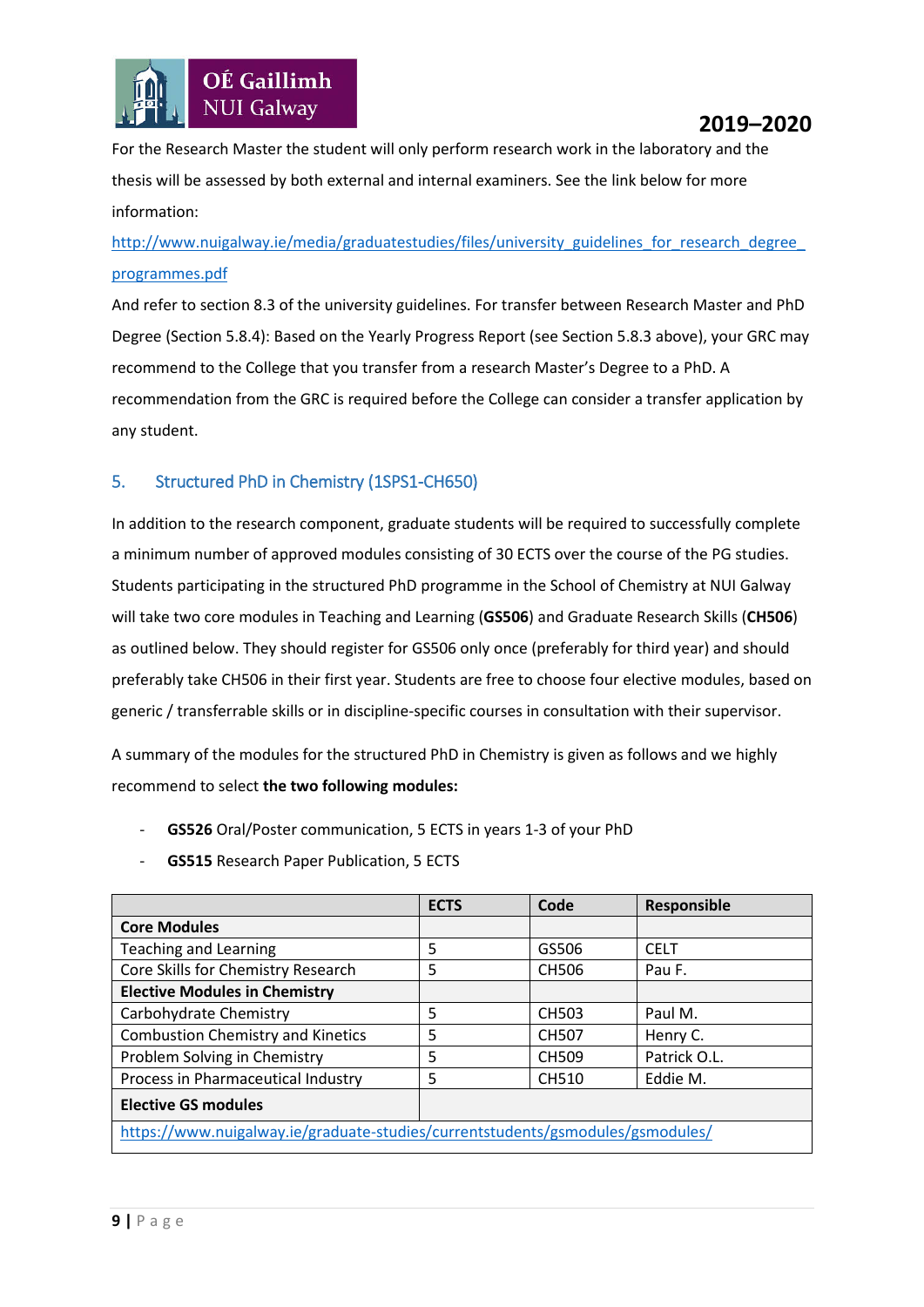

For the Research Master the student will only perform research work in the laboratory and the thesis will be assessed by both external and internal examiners. See the link below for more information:

## http://www.nuigalway.ie/media/graduatestudies/files/university\_guidelines\_for\_research\_degree [programmes.pdf](http://www.nuigalway.ie/media/graduatestudies/files/university_guidelines_for_research_degree_programmes.pdf)

And refer to section 8.3 of the university guidelines. For transfer between Research Master and PhD Degree (Section 5.8.4): Based on the Yearly Progress Report (see Section 5.8.3 above), your GRC may recommend to the College that you transfer from a research Master's Degree to a PhD. A recommendation from the GRC is required before the College can consider a transfer application by any student.

## <span id="page-8-0"></span>5. Structured PhD in Chemistry (1SPS1-CH650)

In addition to the research component, graduate students will be required to successfully complete a minimum number of approved modules consisting of 30 ECTS over the course of the PG studies. Students participating in the structured PhD programme in the School of Chemistry at NUI Galway will take two core modules in Teaching and Learning (**GS506**) and Graduate Research Skills (**CH506**) as outlined below. They should register for GS506 only once (preferably for third year) and should preferably take CH506 in their first year. Students are free to choose four elective modules, based on generic / transferrable skills or in discipline-specific courses in consultation with their supervisor.

A summary of the modules for the structured PhD in Chemistry is given as follows and we highly recommend to select **the two following modules:**

- **GS526** Oral/Poster communication, 5 ECTS in years 1-3 of your PhD
- GS515 Research Paper Publication, 5 ECTS

|                                                                                | <b>ECTS</b> | Code         | Responsible  |  |  |  |
|--------------------------------------------------------------------------------|-------------|--------------|--------------|--|--|--|
| <b>Core Modules</b>                                                            |             |              |              |  |  |  |
| <b>Teaching and Learning</b>                                                   | 5           | GS506        | <b>CELT</b>  |  |  |  |
| Core Skills for Chemistry Research                                             | 5           | <b>CH506</b> | Pau F.       |  |  |  |
| <b>Elective Modules in Chemistry</b>                                           |             |              |              |  |  |  |
| Carbohydrate Chemistry                                                         | 5           | <b>CH503</b> | Paul M.      |  |  |  |
| <b>Combustion Chemistry and Kinetics</b>                                       | 5           | <b>CH507</b> | Henry C.     |  |  |  |
| Problem Solving in Chemistry                                                   | 5           | <b>CH509</b> | Patrick O.L. |  |  |  |
| Process in Pharmaceutical Industry                                             | 5           | <b>CH510</b> | Eddie M.     |  |  |  |
| <b>Elective GS modules</b>                                                     |             |              |              |  |  |  |
| https://www.nuigalway.ie/graduate-studies/currentstudents/gsmodules/gsmodules/ |             |              |              |  |  |  |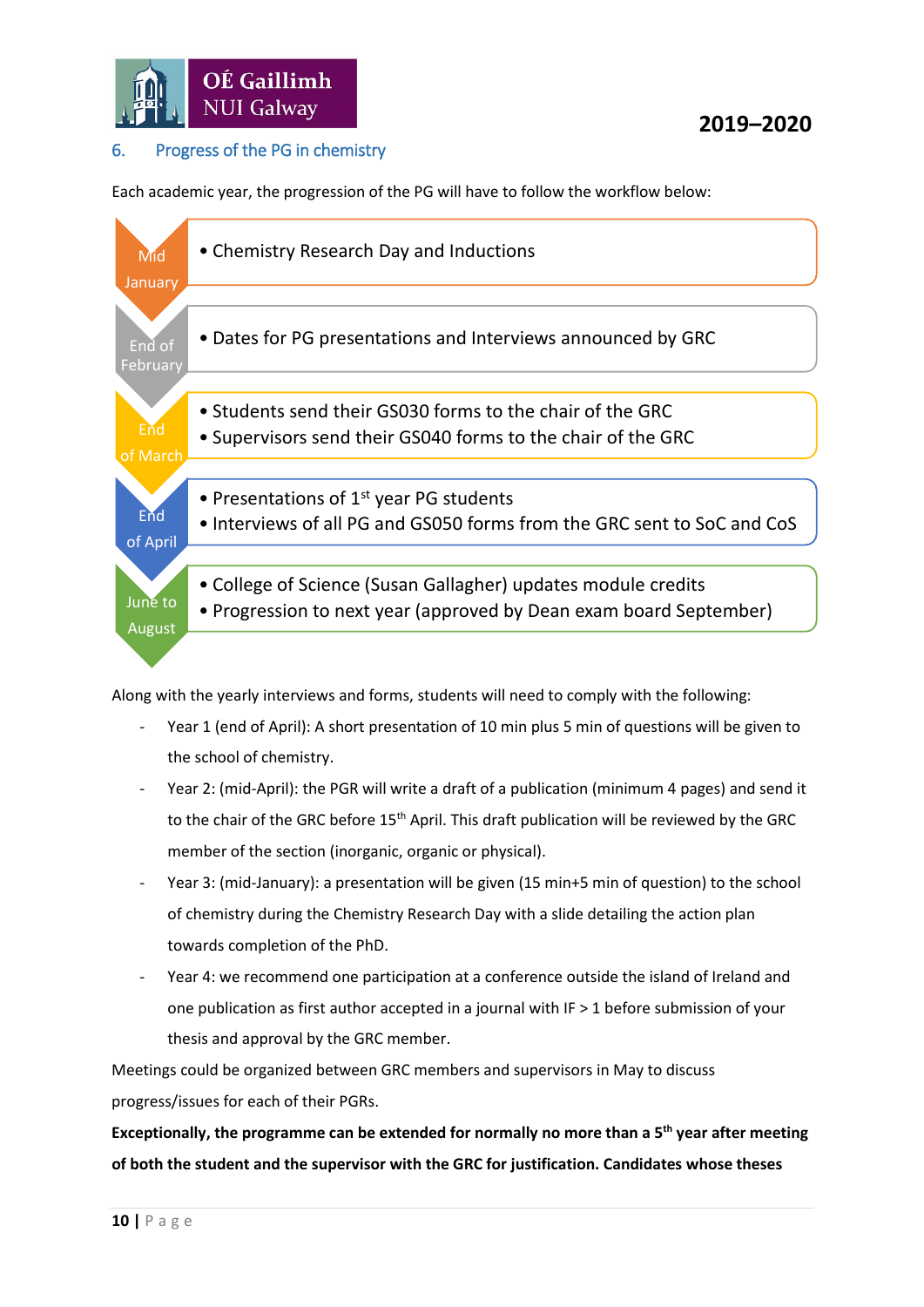

## <span id="page-9-0"></span>6. Progress of the PG in chemistry

Each academic year, the progression of the PG will have to follow the workflow below:



Along with the yearly interviews and forms, students will need to comply with the following:

- Year 1 (end of April): A short presentation of 10 min plus 5 min of questions will be given to the school of chemistry.
- Year 2: (mid-April): the PGR will write a draft of a publication (minimum 4 pages) and send it to the chair of the GRC before 15<sup>th</sup> April. This draft publication will be reviewed by the GRC member of the section (inorganic, organic or physical).
- Year 3: (mid-January): a presentation will be given (15 min+5 min of question) to the school of chemistry during the Chemistry Research Day with a slide detailing the action plan towards completion of the PhD.
- Year 4: we recommend one participation at a conference outside the island of Ireland and one publication as first author accepted in a journal with IF > 1 before submission of your thesis and approval by the GRC member.

Meetings could be organized between GRC members and supervisors in May to discuss progress/issues for each of their PGRs.

**Exceptionally, the programme can be extended for normally no more than a 5th year after meeting of both the student and the supervisor with the GRC for justification. Candidates whose theses**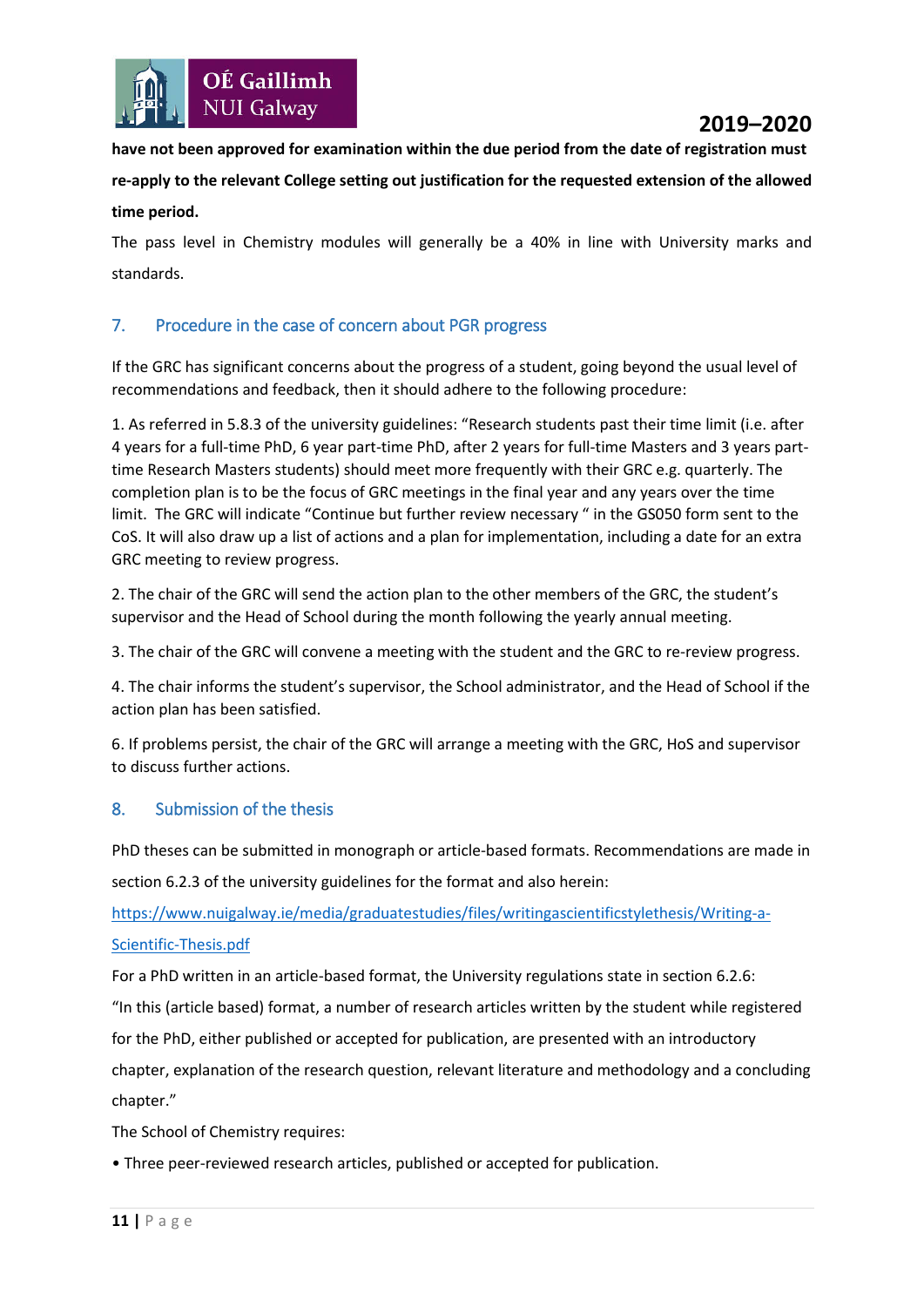

**have not been approved for examination within the due period from the date of registration must re-apply to the relevant College setting out justification for the requested extension of the allowed time period.**

The pass level in Chemistry modules will generally be a 40% in line with University marks and standards.

## <span id="page-10-0"></span>7. Procedure in the case of concern about PGR progress

If the GRC has significant concerns about the progress of a student, going beyond the usual level of recommendations and feedback, then it should adhere to the following procedure:

1. As referred in 5.8.3 of the university guidelines: "Research students past their time limit (i.e. after 4 years for a full-time PhD, 6 year part-time PhD, after 2 years for full-time Masters and 3 years parttime Research Masters students) should meet more frequently with their GRC e.g. quarterly. The completion plan is to be the focus of GRC meetings in the final year and any years over the time limit. The GRC will indicate "Continue but further review necessary " in the GS050 form sent to the CoS. It will also draw up a list of actions and a plan for implementation, including a date for an extra GRC meeting to review progress.

2. The chair of the GRC will send the action plan to the other members of the GRC, the student's supervisor and the Head of School during the month following the yearly annual meeting.

3. The chair of the GRC will convene a meeting with the student and the GRC to re-review progress.

4. The chair informs the student's supervisor, the School administrator, and the Head of School if the action plan has been satisfied.

6. If problems persist, the chair of the GRC will arrange a meeting with the GRC, HoS and supervisor to discuss further actions.

#### <span id="page-10-1"></span>8. Submission of the thesis

PhD theses can be submitted in monograph or article-based formats. Recommendations are made in section 6.2.3 of the university guidelines for the format and also herein:

[https://www.nuigalway.ie/media/graduatestudies/files/writingascientificstylethesis/Writing-a-](https://www.nuigalway.ie/media/graduatestudies/files/writingascientificstylethesis/Writing-a-Scientific-Thesis.pdf)[Scientific-Thesis.pdf](https://www.nuigalway.ie/media/graduatestudies/files/writingascientificstylethesis/Writing-a-Scientific-Thesis.pdf)

For a PhD written in an article-based format, the University regulations state in section 6.2.6:

"In this (article based) format, a number of research articles written by the student while registered

for the PhD, either published or accepted for publication, are presented with an introductory

chapter, explanation of the research question, relevant literature and methodology and a concluding chapter."

The School of Chemistry requires:

• Three peer-reviewed research articles, published or accepted for publication.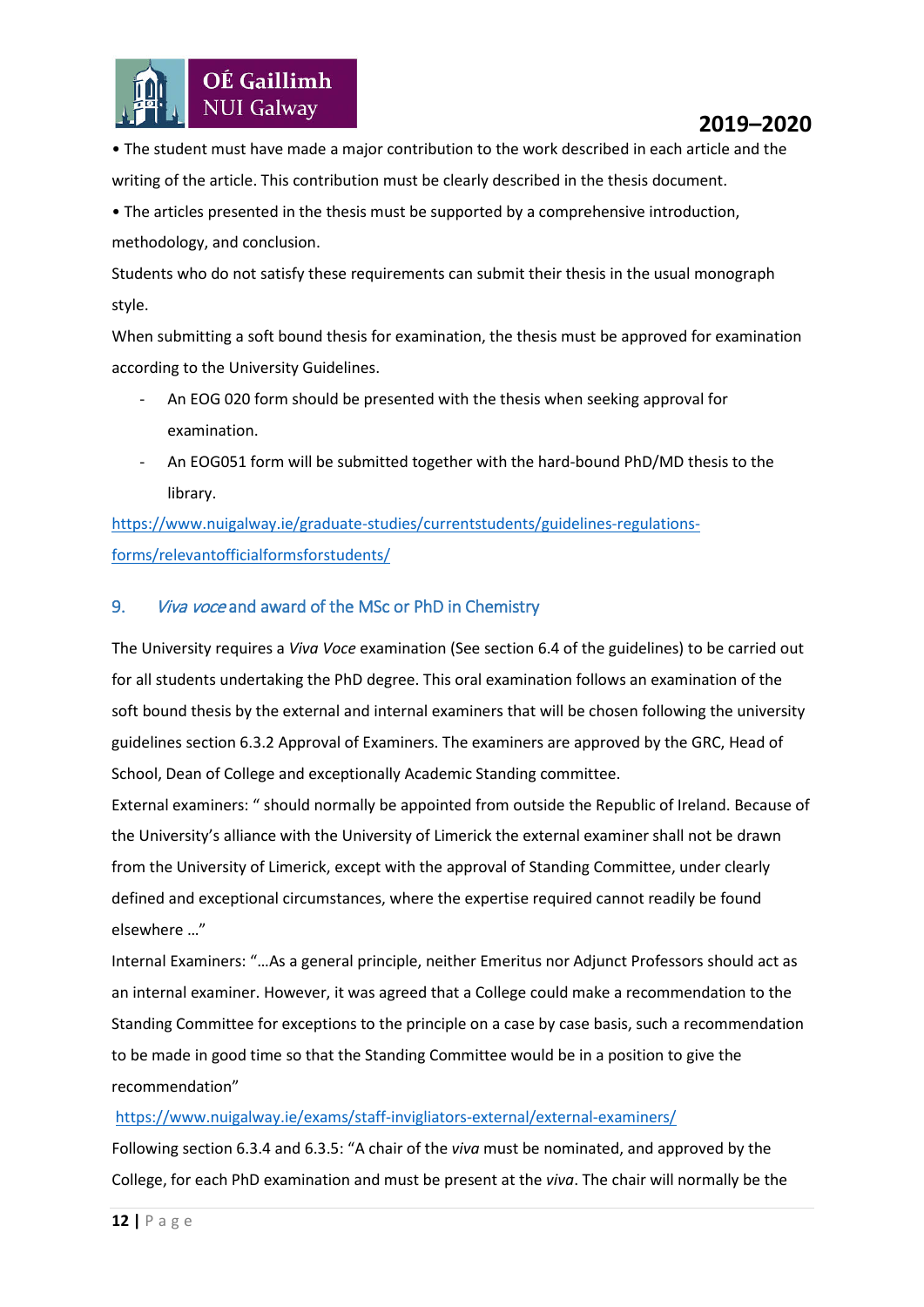

• The student must have made a major contribution to the work described in each article and the writing of the article. This contribution must be clearly described in the thesis document.

• The articles presented in the thesis must be supported by a comprehensive introduction, methodology, and conclusion.

Students who do not satisfy these requirements can submit their thesis in the usual monograph style.

When submitting a soft bound thesis for examination, the thesis must be approved for examination according to the University Guidelines.

- An EOG 020 form should be presented with the thesis when seeking approval for examination.
- An EOG051 form will be submitted together with the hard-bound PhD/MD thesis to the library.

[https://www.nuigalway.ie/graduate-studies/currentstudents/guidelines-regulations](https://www.nuigalway.ie/graduate-studies/currentstudents/guidelines-regulations-forms/relevantofficialformsforstudents/)[forms/relevantofficialformsforstudents/](https://www.nuigalway.ie/graduate-studies/currentstudents/guidelines-regulations-forms/relevantofficialformsforstudents/)

## <span id="page-11-0"></span>9. Viva voce and award of the MSc or PhD in Chemistry

The University requires a *Viva Voce* examination (See section 6.4 of the guidelines) to be carried out for all students undertaking the PhD degree. This oral examination follows an examination of the soft bound thesis by the external and internal examiners that will be chosen following the university guidelines section 6.3.2 Approval of Examiners. The examiners are approved by the GRC, Head of School, Dean of College and exceptionally Academic Standing committee.

External examiners: " should normally be appointed from outside the Republic of Ireland. Because of the University's alliance with the University of Limerick the external examiner shall not be drawn from the University of Limerick, except with the approval of Standing Committee, under clearly defined and exceptional circumstances, where the expertise required cannot readily be found elsewhere …"

Internal Examiners: "…As a general principle, neither Emeritus nor Adjunct Professors should act as an internal examiner. However, it was agreed that a College could make a recommendation to the Standing Committee for exceptions to the principle on a case by case basis, such a recommendation to be made in good time so that the Standing Committee would be in a position to give the recommendation"

#### <https://www.nuigalway.ie/exams/staff-invigliators-external/external-examiners/>

Following section 6.3.4 and 6.3.5: "A chair of the *viva* must be nominated, and approved by the College, for each PhD examination and must be present at the *viva*. The chair will normally be the